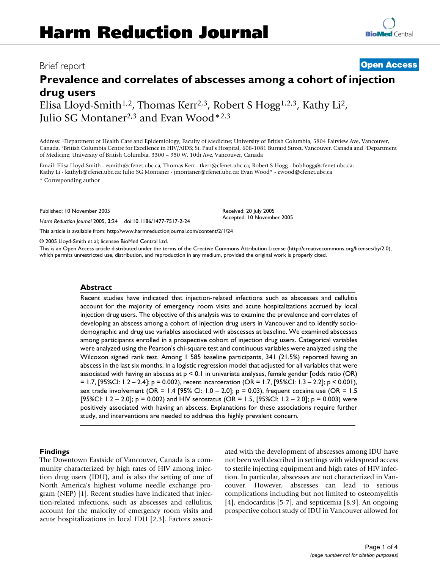## Brief report **[Open Access](http://www.biomedcentral.com/info/about/charter/)**

# **Prevalence and correlates of abscesses among a cohort of injection drug users** Elisa Lloyd-Smith<sup>1,2</sup>, Thomas Kerr<sup>2,3</sup>, Robert S Hogg<sup>1,2,3</sup>, Kathy Li<sup>2</sup>,

Julio SG Montaner2,3 and Evan Wood\*2,3

Address: 1Department of Health Care and Epidemiology, Faculty of Medicine; University of British Columbia, 5804 Fairview Ave, Vancouver, Canada, 2British Columbia Centre for Excellence in HIV/AIDS; St. Paul's Hospital, 608-1081 Burrard Street, Vancouver, Canada and 3Department of Medicine; University of British Columbia, 3300 – 950 W. 10th Ave, Vancouver, Canada

Email: Elisa Lloyd-Smith - esmith@cfenet.ubc.ca; Thomas Kerr - tkerr@cfenet.ubc.ca; Robert S Hogg - bobhogg@cfenet.ubc.ca; Kathy Li - kathyli@cfenet.ubc.ca; Julio SG Montaner - jmontaner@cfenet.ubc.ca; Evan Wood\* - ewood@cfenet.ubc.ca

\* Corresponding author

Published: 10 November 2005

*Harm Reduction Journal* 2005, **2**:24 doi:10.1186/1477-7517-2-24

Received: 20 July 2005 Accepted: 10 November 2005

[This article is available from: http://www.harmreductionjournal.com/content/2/1/24](http://www.harmreductionjournal.com/content/2/1/24)

© 2005 Lloyd-Smith et al; licensee BioMed Central Ltd.

This is an Open Access article distributed under the terms of the Creative Commons Attribution License [\(http://creativecommons.org/licenses/by/2.0\)](http://creativecommons.org/licenses/by/2.0), which permits unrestricted use, distribution, and reproduction in any medium, provided the original work is properly cited.

#### **Abstract**

Recent studies have indicated that injection-related infections such as abscesses and cellulitis account for the majority of emergency room visits and acute hospitalizations accrued by local injection drug users. The objective of this analysis was to examine the prevalence and correlates of developing an abscess among a cohort of injection drug users in Vancouver and to identify sociodemographic and drug use variables associated with abscesses at baseline. We examined abscesses among participants enrolled in a prospective cohort of injection drug users. Categorical variables were analyzed using the Pearson's chi-square test and continuous variables were analyzed using the Wilcoxon signed rank test. Among 1 585 baseline participants, 341 (21.5%) reported having an abscess in the last six months. In a logistic regression model that adjusted for all variables that were associated with having an abscess at  $p < 0.1$  in univariate analyses, female gender [odds ratio (OR) = 1.7, [95%CI: 1.2 – 2.4]; p = 0.002), recent incarceration (OR = 1.7, [95%CI: 1.3 – 2.2]; p < 0.001), sex trade involvement (OR = 1.4 [95% Cl: 1.0 – 2.0];  $p = 0.03$ ), frequent cocaine use (OR = 1.5 [95%CI: 1.2 – 2.0]; p = 0.002) and HIV serostatus (OR = 1.5, [95%CI: 1.2 – 2.0]; p = 0.003) were positively associated with having an abscess. Explanations for these associations require further study, and interventions are needed to address this highly prevalent concern.

### **Findings**

The Downtown Eastside of Vancouver, Canada is a community characterized by high rates of HIV among injection drug users (IDU), and is also the setting of one of North America's highest volume needle exchange program (NEP) [1]. Recent studies have indicated that injection-related infections, such as abscesses and cellulitis, account for the majority of emergency room visits and acute hospitalizations in local IDU [2,3]. Factors associated with the development of abscesses among IDU have not been well described in settings with widespread access to sterile injecting equipment and high rates of HIV infection. In particular, abscesses are not characterized in Vancouver. However, abscesses can lead to serious complications including but not limited to osteomyelitis [4], endocarditis [5-7], and septicemia [8,9]. An ongoing prospective cohort study of IDU in Vancouver allowed for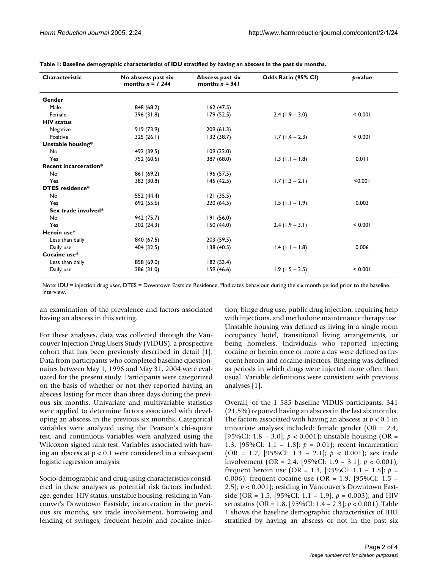| Characteristic         | No abscess past six<br>months $n = 1244$ | Abscess past six<br>months $n = 341$ | Odds Ratio (95% CI)   | <b>p-value</b> |
|------------------------|------------------------------------------|--------------------------------------|-----------------------|----------------|
| Gender                 |                                          |                                      |                       |                |
| Male                   | 848 (68.2)                               | 162(47.5)                            |                       |                |
| Female                 | 396 (31.8)                               | 179(52.5)                            | $2.4$ (1.9 – 3.0)     | < 0.001        |
| <b>HIV</b> status      |                                          |                                      |                       |                |
| Negative               | 919(73.9)                                | 209(61.3)                            |                       |                |
| Positive               | 325(26.1)                                | 132(38.7)                            | $1.7(1.4 - 2.3)$      | < 0.001        |
| Unstable housing*      |                                          |                                      |                       |                |
| <b>No</b>              | 492 (39.5)                               | 109(32.0)                            |                       |                |
| Yes                    | 752 (60.5)                               | 387 (68.0)                           | $1.3$ ( $1.1 - 1.8$ ) | 0.011          |
| Recent incarceration*  |                                          |                                      |                       |                |
| No                     | 861 (69.2)                               | 196(57.5)                            |                       |                |
| Yes                    | 383 (30.8)                               | 145(42.5)                            | $1.7(1.3 - 2.1)$      | < 0.001        |
| <b>DTES</b> residence* |                                          |                                      |                       |                |
| No                     | 552 (44.4)                               | 121(35.5)                            |                       |                |
| Yes                    | 692 (55.6)                               | 220 (64.5)                           | $1.5$ (1.1 – 1.9)     | 0.003          |
| Sex trade involved*    |                                          |                                      |                       |                |
| No                     | 942 (75.7)                               | 191(56.0)                            |                       |                |
| Yes                    | 302 (24.3)                               | 150(44.0)                            | $2.4$ (1.9 – 3.1)     | < 0.001        |
| Heroin use*            |                                          |                                      |                       |                |
| Less than daily        | 840 (67.5)                               | 203 (59.5)                           |                       |                |
| Daily use              | 404 (32.5)                               | 138(40.5)                            | $1.4$ (1.1 – 1.8)     | 0.006          |
| Cocaine use*           |                                          |                                      |                       |                |
| Less than daily        | 858 (69.0)                               | 182(53.4)                            |                       |                |
| Daily use              | 386 (31.0)                               | 159(46.6)                            | $1.9$ (1.5 – 2.5)     | < 0.001        |

**Table 1: Baseline demographic characteristics of IDU stratified by having an abscess in the past six months.**

Note: IDU = injection drug user, DTES = Downtown Eastside Residence. \*Indicates behaviour during the six month period prior to the baseline interview.

an examination of the prevalence and factors associated having an abscess in this setting.

For these analyses, data was collected through the Vancouver Injection Drug Users Study (VIDUS), a prospective cohort that has been previously described in detail [1]. Data from participants who completed baseline questionnaires between May 1, 1996 and May 31, 2004 were evaluated for the present study. Participants were categorized on the basis of whether or not they reported having an abscess lasting for more than three days during the previous six months. Univariate and multivariable statistics were applied to determine factors associated with developing an abscess in the previous six months. Categorical variables were analyzed using the Pearson's chi-square test, and continuous variables were analyzed using the Wilcoxon signed rank test. Variables associated with having an abscess at p < 0.1 were considered in a subsequent logistic regression analysis.

Socio-demographic and drug-using characteristics considered in these analyses as potential risk factors included: age, gender, HIV status, unstable housing, residing in Vancouver's Downtown Eastside, incarceration in the previous six months, sex trade involvement, borrowing and lending of syringes, frequent heroin and cocaine injection, binge drug use, public drug injection, requiring help with injections, and methadone maintenance therapy use. Unstable housing was defined as living in a single room occupancy hotel, transitional living arrangements, or being homeless. Individuals who reported injecting cocaine or heroin once or more a day were defined as frequent heroin and cocaine injectors. Bingeing was defined as periods in which drugs were injected more often than usual. Variable definitions were consistent with previous analyses [1].

Overall, of the 1 585 baseline VIDUS participants, 341 (21.5%) reported having an abscess in the last six months. The factors associated with having an abscess at  $p < 0.1$  in univariate analyses included: female gender (OR = 2.4, [95%CI: 1.8 – 3.0]; *p* < 0.001); unstable housing (OR = 1.3, [95%CI: 1.1 – 1.8]; *p* = 0.01); recent incarceration (OR = 1.7, [95%CI: 1.3 – 2.1]; *p* < 0.001); sex trade involvement (OR = 2.4, [95%CI: 1.9 – 3.1]; *p* < 0.001); frequent heroin use (OR = 1.4, [95%CI: 1.1 – 1.8]; *p* = 0.006); frequent cocaine use (OR = 1.9, [95%CI: 1.5 – 2.5]; *p* < 0.001); residing in Vancouver's Downtown Eastside (OR = 1.5, [95%CI: 1.1 – 1.9]; *p* = 0.003); and HIV serostatus (OR = 1.8, [95%CI: 1.4 – 2.3]; *p* < 0.001). Table 1 shows the baseline demographic characteristics of IDU stratified by having an abscess or not in the past six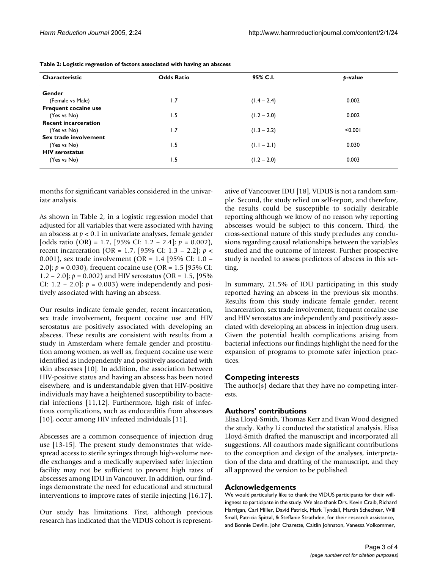| Characteristic              | <b>Odds Ratio</b> | 95% C.I.      | p-value |
|-----------------------------|-------------------|---------------|---------|
| Gender                      |                   |               |         |
| (Female vs Male)            | 1.7               | $(1.4 - 2.4)$ | 0.002   |
| Frequent cocaine use        |                   |               |         |
| (Yes vs No)                 | ۱.5               | $(1.2 - 2.0)$ | 0.002   |
| <b>Recent incarceration</b> |                   |               |         |
| (Yes vs No)                 | 1.7               | $(1.3 - 2.2)$ | < 0.001 |
| Sex trade involvement       |                   |               |         |
| (Yes vs No)                 | 1.5               | $(1.1 - 2.1)$ | 0.030   |
| <b>HIV</b> serostatus       |                   |               |         |
| (Yes vs No)                 | 1.5               | $(1.2 - 2.0)$ | 0.003   |

**Table 2: Logistic regression of factors associated with having an abscess**

months for significant variables considered in the univariate analysis.

As shown in Table 2, in a logistic regression model that adjusted for all variables that were associated with having an abscess at *p* < 0.1 in univariate analyses, female gender [odds ratio (OR) = 1.7, [95% CI: 1.2 – 2.4]; *p* = 0.002), recent incarceration (OR = 1.7, [95% CI: 1.3 – 2.2]; *p* < 0.001), sex trade involvement (OR = 1.4 [95% CI: 1.0 – 2.0]; *p* = 0.030), frequent cocaine use (OR = 1.5 [95% CI: 1.2 – 2.0]; *p* = 0.002) and HIV serostatus (OR = 1.5, [95% CI:  $1.2 - 2.0$ ;  $p = 0.003$ ) were independently and positively associated with having an abscess.

Our results indicate female gender, recent incarceration, sex trade involvement, frequent cocaine use and HIV serostatus are positively associated with developing an abscess. These results are consistent with results from a study in Amsterdam where female gender and prostitution among women, as well as, frequent cocaine use were identified as independently and positively associated with skin abscesses [10]. In addition, the association between HIV-positive status and having an abscess has been noted elsewhere, and is understandable given that HIV-positive individuals may have a heightened susceptibility to bacterial infections [11,12]. Furthermore, high risk of infectious complications, such as endocarditis from abscesses [10], occur among HIV infected individuals [11].

Abscesses are a common consequence of injection drug use [13-15]. The present study demonstrates that widespread access to sterile syringes through high-volume needle exchanges and a medically supervised safer injection facility may not be sufficient to prevent high rates of abscesses among IDU in Vancouver. In addition, our findings demonstrate the need for educational and structural interventions to improve rates of sterile injecting [16,17].

Our study has limitations. First, although previous research has indicated that the VIDUS cohort is representative of Vancouver IDU [18], VIDUS is not a random sample. Second, the study relied on self-report, and therefore, the results could be susceptible to socially desirable reporting although we know of no reason why reporting abscesses would be subject to this concern. Third, the cross-sectional nature of this study precludes any conclusions regarding causal relationships between the variables studied and the outcome of interest. Further prospective study is needed to assess predictors of abscess in this setting.

In summary, 21.5% of IDU participating in this study reported having an abscess in the previous six months. Results from this study indicate female gender, recent incarceration, sex trade involvement, frequent cocaine use and HIV serostatus are independently and positively associated with developing an abscess in injection drug users. Given the potential health complications arising from bacterial infections our findings highlight the need for the expansion of programs to promote safer injection practices.

#### **Competing interests**

The author(s) declare that they have no competing interests.

#### **Authors' contributions**

Elisa Lloyd-Smith, Thomas Kerr and Evan Wood designed the study. Kathy Li conducted the statistical analysis. Elisa Lloyd-Smith drafted the manuscript and incorporated all suggestions. All coauthors made significant contributions to the conception and design of the analyses, interpretation of the data and drafting of the manuscript, and they all approved the version to be published.

#### **Acknowledgements**

We would particularly like to thank the VIDUS participants for their willingness to participate in the study. We also thank Drs. Kevin Craib, Richard Harrigan, Cari Miller, David Patrick, Mark Tyndall, Martin Schechter, Will Small, Patricia Spittal, & Steffanie Strathdee, for their research assistance, and Bonnie Devlin, John Charette, Caitlin Johnston, Vanessa Volkommer,